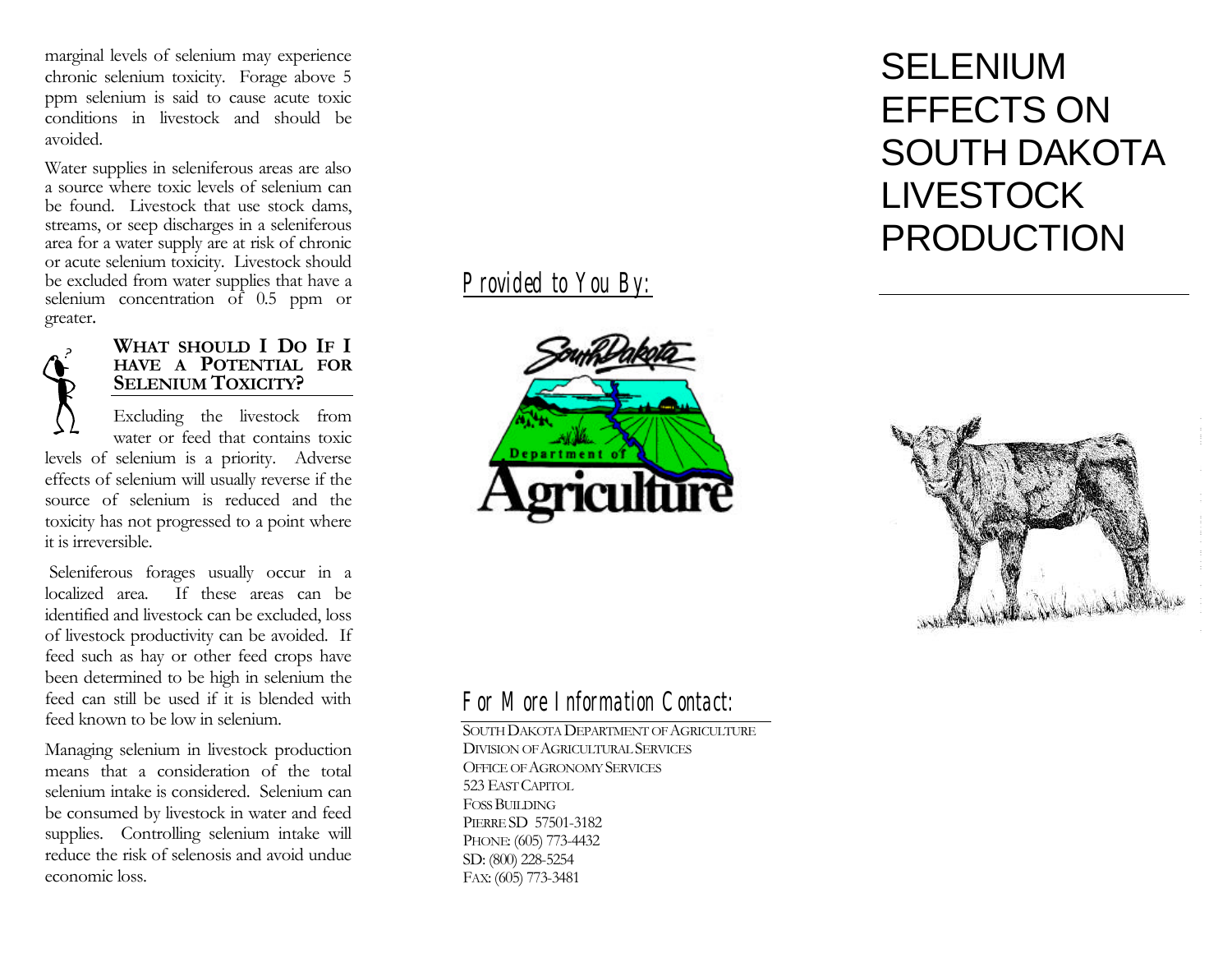marginal levels of selenium may experience chronic selenium toxicity. Forage above 5 ppm selenium is said to cause acute toxic conditions in livestock and should be avoided.

Water supplies in seleniferous areas are also a source where toxic levels of selenium can be found. Livestock that use stock dams, streams, or seep discharges in a seleniferous area for a water supply are at risk of chronic or acute selenium toxicity. Livestock should be excluded from water supplies that have a selenium concentration of 0.5 ppm or greater .

### **WHAT SHOULD I DO IF I HAVE A POTENTIAL FOR SELENIUM TOXICITY?**

Excluding the livestock from water or feed that contains toxic levels of selenium is a priority. Adverse effects of selenium will usually reverse if the source of selenium is reduced and the toxicity has not progressed to a point where it is irreversible.

 Seleniferous forages usually occur in a localized area. If these areas can be identified and livestock can be excluded, loss of livestock productivity can be avoided. If feed such as hay or other feed crops have been determined to be high in selenium the feed can still be used if it is blended with feed known to be low in selenium.

Managing selenium in livestock production means that a consideration of the total selenium intake is considered. Selenium can be consumed by livestock in water and feed supplies. Controlling selenium intake will reduce the risk of selenosis and avoid undue economic loss.

# *Provided to You By:*



# SELENIUM EFFECTS ON SOUTH DAKOTA LIVESTOCK PRODUCTION



# *For More Information Contact:*

SOUTH DAKOTA DEPARTMENT OF AGRICULTURE DIVISION OF AGRICULTURAL SERVICES OFFICE OF AGRONOMY SERVICES 523 EAST CAPITOL FOSS BUILDING PIERRE SD 57501-3182 PHONE: (605) 773-4432 SD: (800) 228-5254 FAX: (605) 773-3481